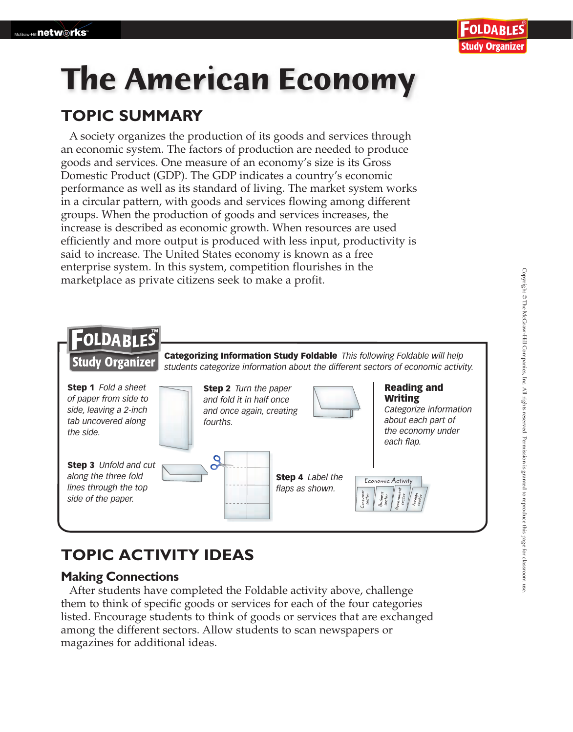# **The American Economy**

### **TOPIC SUMMARY**

A society organizes the production of its goods and services through an economic system. The factors of production are needed to produce goods and services. One measure of an economy's size is its Gross Domestic Product (GDP). The GDP indicates a country's economic performance as well as its standard of living. The market system works in a circular pattern, with goods and services flowing among different groups. When the production of goods and services increases, the increase is described as economic growth. When resources are used efficiently and more output is produced with less input, productivity is said to increase. The United States economy is known as a free enterprise system. In this system, competition flourishes in the marketplace as private citizens seek to make a profit.



## **TOPIC ACTIVITY IDEAS**

#### **Making Connections**

After students have completed the Foldable activity above, challenge them to think of specific goods or services for each of the four categories listed. Encourage students to think of goods or services that are exchanged among the different sectors. Allow students to scan newspapers or magazines for additional ideas.